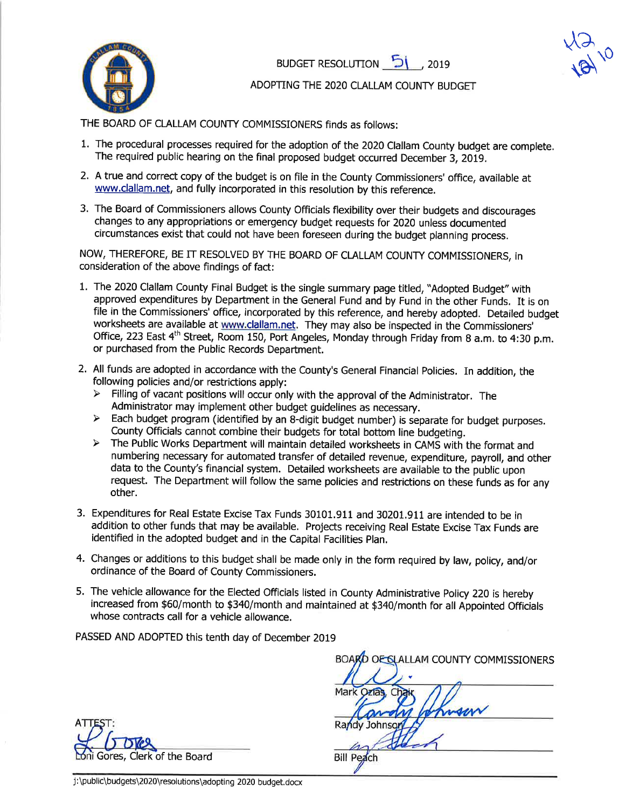

BUDGET RESOLUTION **b** 

 $\frac{1}{2}$  $\sqrt{\epsilon}$  $\sqrt{0}$ 

ADOPTNG THE 2O2O CLALLAM COUNTY BUDGET

THE BOARD OF CLALLAM COUNTY COMMISSIONERS finds as foilows:

- 1. The procedural processes required for the adoption of the 2020 Clallam County budget are complete. The required public hearing on the final proposed budget occurred December 3, 2019.
- 2. A true and correct copy of the budget is on file in the County Commissioners' office, available at www.clallam.net, and fully incorporated in this resolution by this reference.
- 3. The Board of Commissioners allows County Officials flexibility over their budgets and discourages changes to any appropriations or emergency budget requests for 2020 unless documented circumstances exist that could not have been foreseen during the budget planning process.

NOW, THEREFORE, BE IT RESOLVED BY THE BOARD OF CLALLAM COUNTY COMMISSIONERS, iN consideration of the above findings of fact:

- 1. The 2020 Clallam County Final Budget is the single summary page titled, "Adopted Budget" with approved expenditures by Department in the General Fund and by Fund in the other Funds. It is on file in the Commissioners' office, incorporated by this reference, and hereby adopted. Detailed budget worksheets are available at www.dallam,net. They may also be inspected in the Commissioners' Office, 223 East 4<sup>th</sup> Street, Room 150, Port Angeles, Monday through Friday from 8 a.m. to 4:30 p.m. or purchased from the Public Records Department.
- 2. All funds are adopted in accordance with the County's General Financial Policies. In addition, the following policies and/or restrictions apply:
	- $\triangleright$  Filling of vacant positions will occur only with the approval of the Administrator. The
	- Administrator may implement other budget guidelines as necessary.<br>
	> Each budget program (identified by an 8-digit budget number) is separate for budget purposes. County Officials cannot combine their budgets for total bottom line budgeting.<br>
	> The Public Works Department will maintain detailed worksheets in CAMS with the format and
	- numbering necessary for automated transfer of detailed revenue, expenditure, payroll, and other data to the County's financial system. Detailed worksheets are available to the publíc upon request. The Department will follow the same policies and restrictions on these funds as for any other.
- 3. Expenditures for Real Estate Excise Tax Funds 30101.911 and 30201.911 are intended to be in addition to other funds that may be available, Projects receiving Real Estate Excise Tax Funds are identified in the adopted budget and in the Capital Facilities plan.
- 4. Changes or additions to this budget shall be made only in the form required by law, policy, and/or ordinance of the Board of County Commissioners.
- 5. The vehicle allowance for the Elected Officials listed in County Administrative Policy 220 is hereby increased from \$60/month to \$340/month and maintained at \$340/month for all Appointed Officials whose contracts call for a vehicle allowance.

PASSED AND ADOPTED this tenth day of December 2019

A Gores, Clerk of the Board

BOARD OF SLALLAM COUNTY COMMISSIONERS Mark Ozias formace Randy Johnson **Bill Peach** 

j:\public\budgets\2020\resolutions\adopting 2020 budget.docx